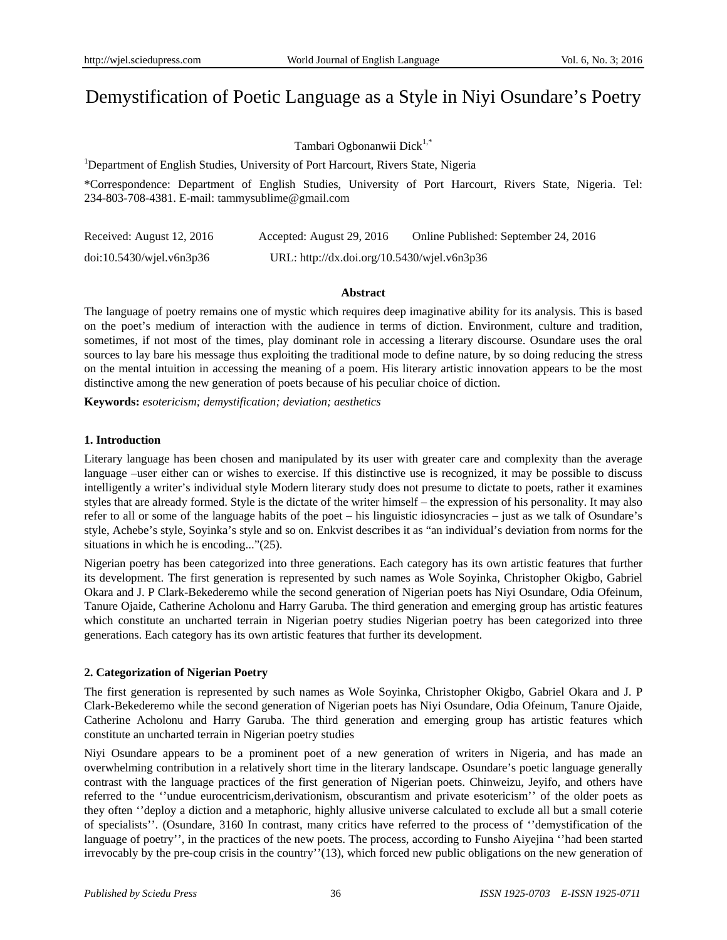# Demystification of Poetic Language as a Style in Niyi Osundare's Poetry

#### Tambari Ogbonanwii Dick<sup>1,\*</sup>

<sup>1</sup>Department of English Studies, University of Port Harcourt, Rivers State, Nigeria

\*Correspondence: Department of English Studies, University of Port Harcourt, Rivers State, Nigeria. Tel: 234-803-708-4381. E-mail: tammysublime@gmail.com

| Received: August 12, 2016   | Accepted: August 29, 2016                   | Online Published: September 24, 2016 |
|-----------------------------|---------------------------------------------|--------------------------------------|
| $doi:10.5430/w$ jel.v6n3p36 | URL: http://dx.doi.org/10.5430/wjel.v6n3p36 |                                      |

#### **Abstract**

The language of poetry remains one of mystic which requires deep imaginative ability for its analysis. This is based on the poet's medium of interaction with the audience in terms of diction. Environment, culture and tradition, sometimes, if not most of the times, play dominant role in accessing a literary discourse. Osundare uses the oral sources to lay bare his message thus exploiting the traditional mode to define nature, by so doing reducing the stress on the mental intuition in accessing the meaning of a poem. His literary artistic innovation appears to be the most distinctive among the new generation of poets because of his peculiar choice of diction.

**Keywords:** *esotericism; demystification; deviation; aesthetics*

## **1. Introduction**

Literary language has been chosen and manipulated by its user with greater care and complexity than the average language –user either can or wishes to exercise. If this distinctive use is recognized, it may be possible to discuss intelligently a writer's individual style Modern literary study does not presume to dictate to poets, rather it examines styles that are already formed. Style is the dictate of the writer himself – the expression of his personality. It may also refer to all or some of the language habits of the poet – his linguistic idiosyncracies – just as we talk of Osundare's style, Achebe's style, Soyinka's style and so on. Enkvist describes it as "an individual's deviation from norms for the situations in which he is encoding..."(25).

Nigerian poetry has been categorized into three generations. Each category has its own artistic features that further its development. The first generation is represented by such names as Wole Soyinka, Christopher Okigbo, Gabriel Okara and J. P Clark-Bekederemo while the second generation of Nigerian poets has Niyi Osundare, Odia Ofeinum, Tanure Ojaide, Catherine Acholonu and Harry Garuba. The third generation and emerging group has artistic features which constitute an uncharted terrain in Nigerian poetry studies Nigerian poetry has been categorized into three generations. Each category has its own artistic features that further its development.

## **2. Categorization of Nigerian Poetry**

The first generation is represented by such names as Wole Soyinka, Christopher Okigbo, Gabriel Okara and J. P Clark-Bekederemo while the second generation of Nigerian poets has Niyi Osundare, Odia Ofeinum, Tanure Ojaide, Catherine Acholonu and Harry Garuba. The third generation and emerging group has artistic features which constitute an uncharted terrain in Nigerian poetry studies

Niyi Osundare appears to be a prominent poet of a new generation of writers in Nigeria, and has made an overwhelming contribution in a relatively short time in the literary landscape. Osundare's poetic language generally contrast with the language practices of the first generation of Nigerian poets. Chinweizu, Jeyifo, and others have referred to the ''undue eurocentricism,derivationism, obscurantism and private esotericism'' of the older poets as they often ''deploy a diction and a metaphoric, highly allusive universe calculated to exclude all but a small coterie of specialists''. (Osundare, 3160 In contrast, many critics have referred to the process of ''demystification of the language of poetry'', in the practices of the new poets. The process, according to Funsho Aiyejina ''had been started irrevocably by the pre-coup crisis in the country''(13), which forced new public obligations on the new generation of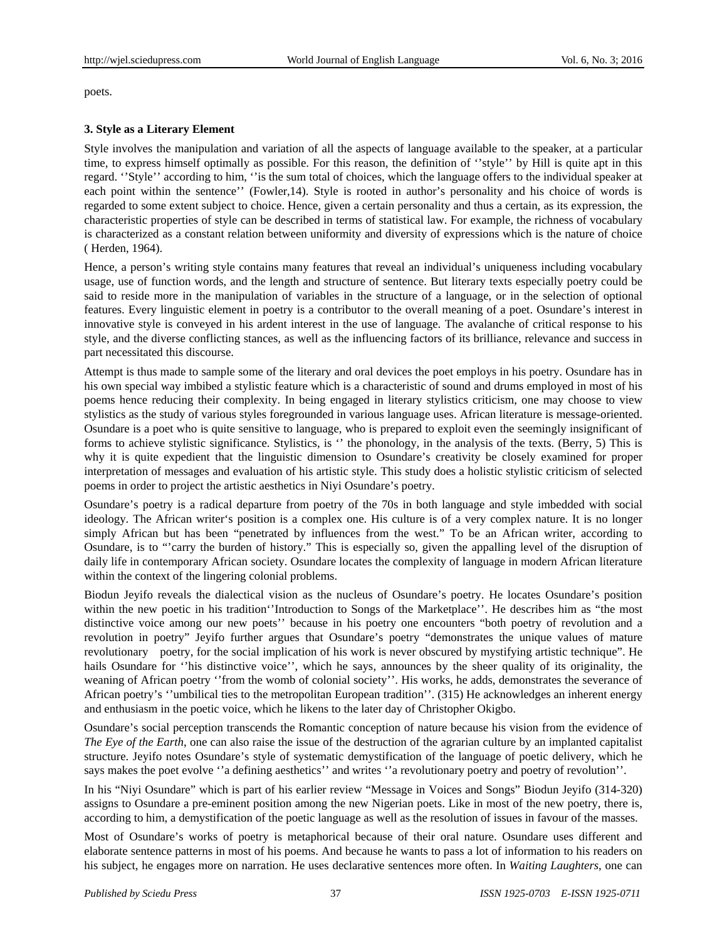poets.

## **3. Style as a Literary Element**

Style involves the manipulation and variation of all the aspects of language available to the speaker, at a particular time, to express himself optimally as possible. For this reason, the definition of ''style'' by Hill is quite apt in this regard. ''Style'' according to him, ''is the sum total of choices, which the language offers to the individual speaker at each point within the sentence'' (Fowler,14). Style is rooted in author's personality and his choice of words is regarded to some extent subject to choice. Hence, given a certain personality and thus a certain, as its expression, the characteristic properties of style can be described in terms of statistical law. For example, the richness of vocabulary is characterized as a constant relation between uniformity and diversity of expressions which is the nature of choice ( Herden, 1964).

Hence, a person's writing style contains many features that reveal an individual's uniqueness including vocabulary usage, use of function words, and the length and structure of sentence. But literary texts especially poetry could be said to reside more in the manipulation of variables in the structure of a language, or in the selection of optional features. Every linguistic element in poetry is a contributor to the overall meaning of a poet. Osundare's interest in innovative style is conveyed in his ardent interest in the use of language. The avalanche of critical response to his style, and the diverse conflicting stances, as well as the influencing factors of its brilliance, relevance and success in part necessitated this discourse.

Attempt is thus made to sample some of the literary and oral devices the poet employs in his poetry. Osundare has in his own special way imbibed a stylistic feature which is a characteristic of sound and drums employed in most of his poems hence reducing their complexity. In being engaged in literary stylistics criticism, one may choose to view stylistics as the study of various styles foregrounded in various language uses. African literature is message-oriented. Osundare is a poet who is quite sensitive to language, who is prepared to exploit even the seemingly insignificant of forms to achieve stylistic significance. Stylistics, is '' the phonology, in the analysis of the texts. (Berry, 5) This is why it is quite expedient that the linguistic dimension to Osundare's creativity be closely examined for proper interpretation of messages and evaluation of his artistic style. This study does a holistic stylistic criticism of selected poems in order to project the artistic aesthetics in Niyi Osundare's poetry.

Osundare's poetry is a radical departure from poetry of the 70s in both language and style imbedded with social ideology. The African writer's position is a complex one. His culture is of a very complex nature. It is no longer simply African but has been "penetrated by influences from the west." To be an African writer, according to Osundare, is to "'carry the burden of history." This is especially so, given the appalling level of the disruption of daily life in contemporary African society. Osundare locates the complexity of language in modern African literature within the context of the lingering colonial problems.

Biodun Jeyifo reveals the dialectical vision as the nucleus of Osundare's poetry. He locates Osundare's position within the new poetic in his tradition''Introduction to Songs of the Marketplace''. He describes him as "the most distinctive voice among our new poets'' because in his poetry one encounters "both poetry of revolution and a revolution in poetry" Jeyifo further argues that Osundare's poetry "demonstrates the unique values of mature revolutionary poetry, for the social implication of his work is never obscured by mystifying artistic technique". He hails Osundare for "his distinctive voice", which he says, announces by the sheer quality of its originality, the weaning of African poetry ''from the womb of colonial society''. His works, he adds, demonstrates the severance of African poetry's ''umbilical ties to the metropolitan European tradition''. (315) He acknowledges an inherent energy and enthusiasm in the poetic voice, which he likens to the later day of Christopher Okigbo.

Osundare's social perception transcends the Romantic conception of nature because his vision from the evidence of *The Eye of the Earth*, one can also raise the issue of the destruction of the agrarian culture by an implanted capitalist structure. Jeyifo notes Osundare's style of systematic demystification of the language of poetic delivery, which he says makes the poet evolve "a defining aesthetics" and writes "a revolutionary poetry and poetry of revolution".

In his "Niyi Osundare" which is part of his earlier review "Message in Voices and Songs" Biodun Jeyifo (314-320) assigns to Osundare a pre-eminent position among the new Nigerian poets. Like in most of the new poetry, there is, according to him, a demystification of the poetic language as well as the resolution of issues in favour of the masses.

Most of Osundare's works of poetry is metaphorical because of their oral nature. Osundare uses different and elaborate sentence patterns in most of his poems. And because he wants to pass a lot of information to his readers on his subject, he engages more on narration. He uses declarative sentences more often. In *Waiting Laughters*, one can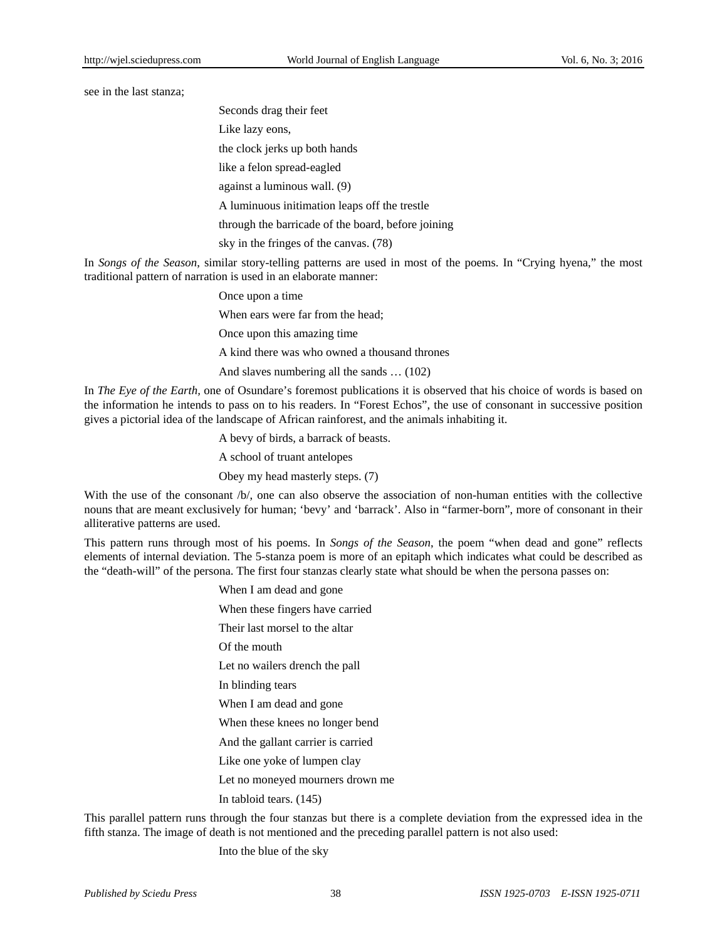see in the last stanza;

Seconds drag their feet Like lazy eons, the clock jerks up both hands like a felon spread-eagled against a luminous wall. (9) A luminuous initimation leaps off the trestle through the barricade of the board, before joining sky in the fringes of the canvas. (78)

In *Songs of the Season*, similar story-telling patterns are used in most of the poems. In "Crying hyena," the most traditional pattern of narration is used in an elaborate manner:

Once upon a time

When ears were far from the head;

Once upon this amazing time

A kind there was who owned a thousand thrones

And slaves numbering all the sands … (102)

In *The Eye of the Earth,* one of Osundare's foremost publications it is observed that his choice of words is based on the information he intends to pass on to his readers. In "Forest Echos", the use of consonant in successive position gives a pictorial idea of the landscape of African rainforest, and the animals inhabiting it.

A bevy of birds, a barrack of beasts.

A school of truant antelopes

Obey my head masterly steps. (7)

With the use of the consonant /b/, one can also observe the association of non-human entities with the collective nouns that are meant exclusively for human; 'bevy' and 'barrack'. Also in "farmer-born", more of consonant in their alliterative patterns are used.

This pattern runs through most of his poems. In *Songs of the Season*, the poem "when dead and gone" reflects elements of internal deviation. The 5-stanza poem is more of an epitaph which indicates what could be described as the "death-will" of the persona. The first four stanzas clearly state what should be when the persona passes on:

> When I am dead and gone When these fingers have carried Their last morsel to the altar Of the mouth Let no wailers drench the pall

In blinding tears

When I am dead and gone

When these knees no longer bend

And the gallant carrier is carried

Like one yoke of lumpen clay

Let no moneyed mourners drown me

In tabloid tears. (145)

This parallel pattern runs through the four stanzas but there is a complete deviation from the expressed idea in the fifth stanza. The image of death is not mentioned and the preceding parallel pattern is not also used:

Into the blue of the sky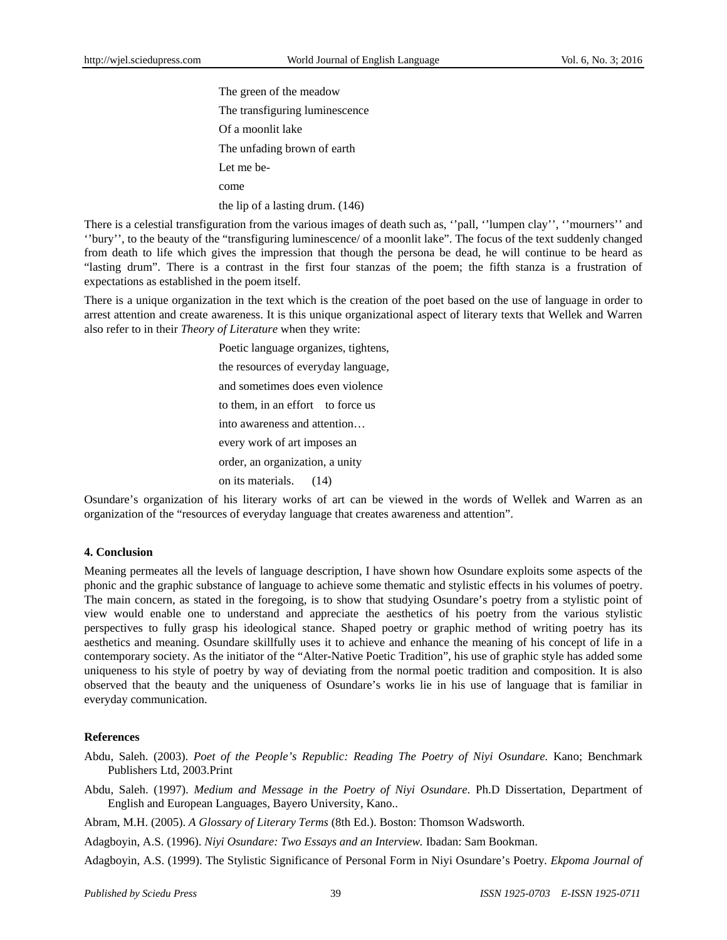The green of the meadow The transfiguring luminescence Of a moonlit lake The unfading brown of earth Let me become the lip of a lasting drum. (146)

There is a celestial transfiguration from the various images of death such as, ''pall, ''lumpen clay'', ''mourners'' and ''bury'', to the beauty of the "transfiguring luminescence/ of a moonlit lake". The focus of the text suddenly changed from death to life which gives the impression that though the persona be dead, he will continue to be heard as "lasting drum". There is a contrast in the first four stanzas of the poem; the fifth stanza is a frustration of expectations as established in the poem itself.

There is a unique organization in the text which is the creation of the poet based on the use of language in order to arrest attention and create awareness. It is this unique organizational aspect of literary texts that Wellek and Warren also refer to in their *Theory of Literature* when they write:

> Poetic language organizes, tightens, the resources of everyday language, and sometimes does even violence to them, in an effort to force us into awareness and attention… every work of art imposes an order, an organization, a unity on its materials. (14)

Osundare's organization of his literary works of art can be viewed in the words of Wellek and Warren as an organization of the "resources of everyday language that creates awareness and attention".

#### **4. Conclusion**

Meaning permeates all the levels of language description, I have shown how Osundare exploits some aspects of the phonic and the graphic substance of language to achieve some thematic and stylistic effects in his volumes of poetry. The main concern, as stated in the foregoing, is to show that studying Osundare's poetry from a stylistic point of view would enable one to understand and appreciate the aesthetics of his poetry from the various stylistic perspectives to fully grasp his ideological stance. Shaped poetry or graphic method of writing poetry has its aesthetics and meaning. Osundare skillfully uses it to achieve and enhance the meaning of his concept of life in a contemporary society. As the initiator of the "Alter-Native Poetic Tradition", his use of graphic style has added some uniqueness to his style of poetry by way of deviating from the normal poetic tradition and composition. It is also observed that the beauty and the uniqueness of Osundare's works lie in his use of language that is familiar in everyday communication.

#### **References**

Abdu, Saleh. (2003). *Poet of the People's Republic: Reading The Poetry of Niyi Osundare.* Kano; Benchmark Publishers Ltd, 2003.Print

Abdu, Saleh. (1997). *Medium and Message in the Poetry of Niyi Osundare*. Ph.D Dissertation, Department of English and European Languages, Bayero University, Kano..

Abram, M.H. (2005). *A Glossary of Literary Terms* (8th Ed.). Boston: Thomson Wadsworth.

Adagboyin, A.S. (1996). *Niyi Osundare: Two Essays and an Interview.* Ibadan: Sam Bookman.

Adagboyin, A.S. (1999). The Stylistic Significance of Personal Form in Niyi Osundare's Poetry*. Ekpoma Journal of*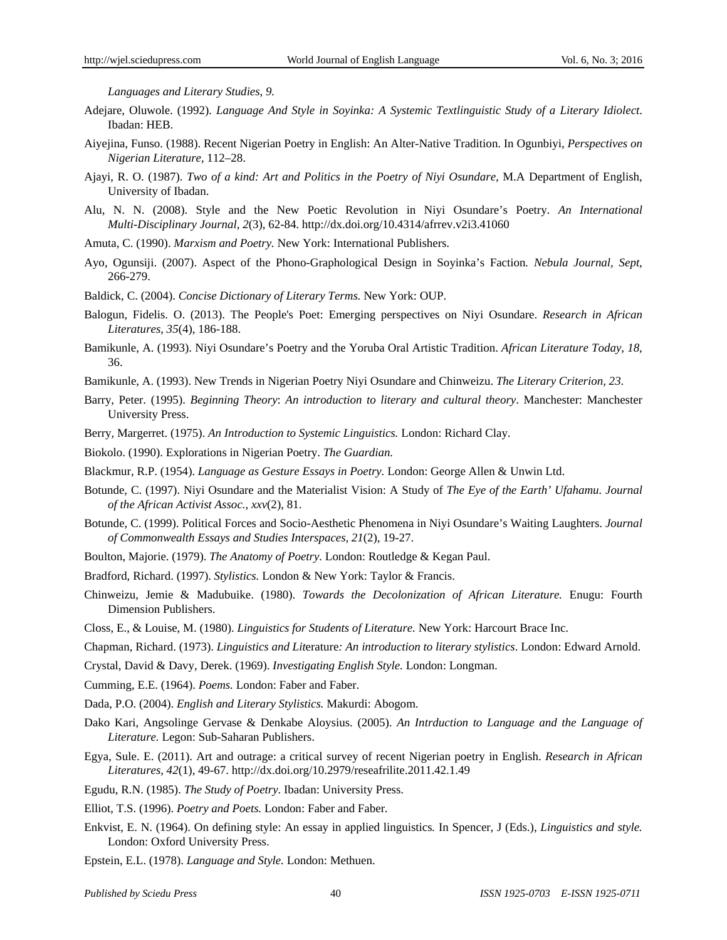*Languages and Literary Studies*, *9.*

- Adejare, Oluwole. (1992). *Language And Style in Soyinka: A Systemic Textlinguistic Study of a Literary Idiolect*. Ibadan: HEB.
- Aiyejina, Funso. (1988). Recent Nigerian Poetry in English: An Alter-Native Tradition. In Ogunbiyi, *Perspectives on Nigerian Literature,* 112–28.
- Ajayi, R. O. (1987). *Two of a kind: Art and Politics in the Poetry of Niyi Osundare,* M.A Department of English, University of Ibadan.
- Alu, N. N. (2008). Style and the New Poetic Revolution in Niyi Osundare's Poetry. *An International Multi-Disciplinary Journal, 2*(3), 62-84. http://dx.doi.org/10.4314/afrrev.v2i3.41060
- Amuta, C. (1990). *Marxism and Poetry.* New York: International Publishers.
- Ayo, Ogunsiji. (2007). Aspect of the Phono-Graphological Design in Soyinka's Faction*. Nebula Journal, Sept*, 266-279.
- Baldick, C. (2004). *Concise Dictionary of Literary Terms.* New York: OUP.
- Balogun, Fidelis. O. (2013). The People's Poet: Emerging perspectives on Niyi Osundare. *Research in African Literatures, 35*(4), 186-188.
- Bamikunle, A. (1993). Niyi Osundare's Poetry and the Yoruba Oral Artistic Tradition. *African Literature Today, 18*, 36.
- Bamikunle, A. (1993). New Trends in Nigerian Poetry Niyi Osundare and Chinweizu. *The Literary Criterion, 23*.
- Barry, Peter. (1995). *Beginning Theory*: *An introduction to literary and cultural theory*. Manchester: Manchester University Press.
- Berry, Margerret. (1975). *An Introduction to Systemic Linguistics.* London: Richard Clay.
- Biokolo. (1990). Explorations in Nigerian Poetry. *The Guardian.*
- Blackmur, R.P. (1954). *Language as Gesture Essays in Poetry.* London: George Allen & Unwin Ltd.
- Botunde, C. (1997). Niyi Osundare and the Materialist Vision: A Study of *The Eye of the Earth' Ufahamu. Journal of the African Activist Assoc., xxv*(2), 81.
- Botunde, C. (1999). Political Forces and Socio-Aesthetic Phenomena in Niyi Osundare's Waiting Laughters. *Journal of Commonwealth Essays and Studies Interspaces, 21*(2), 19-27.
- Boulton, Majorie. (1979). *The Anatomy of Poetry.* London: Routledge & Kegan Paul.
- Bradford, Richard. (1997). *Stylistics.* London & New York: Taylor & Francis.
- Chinweizu, Jemie & Madubuike. (1980). *Towards the Decolonization of African Literature.* Enugu: Fourth Dimension Publishers.
- Closs, E., & Louise, M. (1980). *Linguistics for Students of Literature.* New York: Harcourt Brace Inc.
- Chapman, Richard. (1973). *Linguistics and Lit*erature*: An introduction to literary stylistics*. London: Edward Arnold.
- Crystal, David & Davy, Derek. (1969). *Investigating English Style.* London: Longman.
- Cumming, E.E. (1964). *Poems.* London: Faber and Faber.
- Dada, P.O. (2004). *English and Literary Stylistics.* Makurdi: Abogom.
- Dako Kari, Angsolinge Gervase & Denkabe Aloysius. (2005). *An Intrduction to Language and the Language of Literature.* Legon: Sub-Saharan Publishers.
- Egya, Sule. E. (2011). Art and outrage: a critical survey of recent Nigerian poetry in English. *Research in African Literatures, 42*(1), 49-67. http://dx.doi.org/10.2979/reseafrilite.2011.42.1.49
- Egudu, R.N. (1985). *The Study of Poetry.* Ibadan: University Press.
- Elliot, T.S. (1996). *Poetry and Poets.* London: Faber and Faber.
- Enkvist, E. N. (1964). On defining style: An essay in applied linguistics*.* In Spencer, J (Eds.), *Linguistics and style.* London: Oxford University Press.
- Epstein, E.L. (1978). *Language and Style.* London: Methuen.